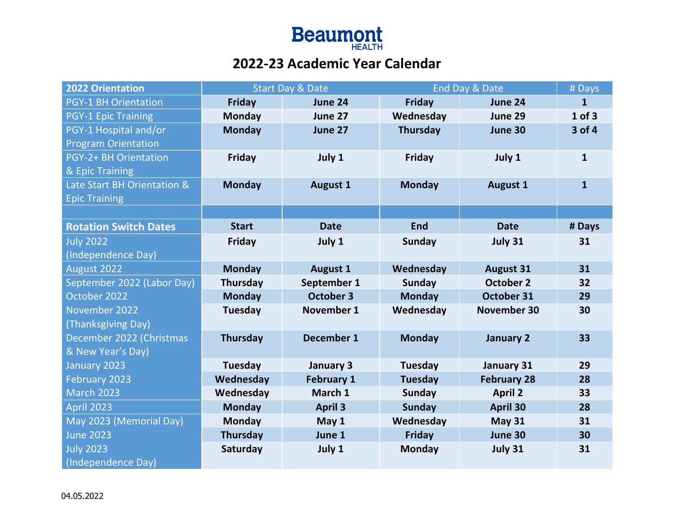

## **2022-23 Academic Year Calendar**

| <b>2022 Orientation</b>      | <b>Start Day &amp; Date</b> |                   | End Day & Date  |                    | # Days       |
|------------------------------|-----------------------------|-------------------|-----------------|--------------------|--------------|
| <b>PGY-1 BH Orientation</b>  | <b>Friday</b>               | June 24           | <b>Friday</b>   | June 24            | $\mathbf{1}$ |
| <b>PGY-1 Epic Training</b>   | <b>Monday</b>               | June 27           | Wednesday       | June 29            | $1$ of $3$   |
| PGY-1 Hospital and/or        | <b>Monday</b>               | June 27           | <b>Thursday</b> | June 30            | 3 of 4       |
| <b>Program Orientation</b>   |                             |                   |                 |                    |              |
| PGY-2+ BH Orientation        | Friday                      | July 1            | <b>Friday</b>   | July 1             | $\mathbf{1}$ |
| & Epic Training              |                             |                   |                 |                    |              |
| Late Start BH Orientation &  | <b>Monday</b>               | <b>August 1</b>   | <b>Monday</b>   | <b>August 1</b>    | $\mathbf{1}$ |
| <b>Epic Training</b>         |                             |                   |                 |                    |              |
|                              |                             |                   |                 |                    |              |
| <b>Rotation Switch Dates</b> | <b>Start</b>                | <b>Date</b>       | <b>End</b>      | <b>Date</b>        | # Days       |
| <b>July 2022</b>             | <b>Friday</b>               | July 1            | <b>Sunday</b>   | July 31            | 31           |
| (Independence Day)           |                             |                   |                 |                    |              |
| August 2022                  | <b>Monday</b>               | <b>August 1</b>   | Wednesday       | <b>August 31</b>   | 31           |
| September 2022 (Labor Day)   | Thursday                    | September 1       | <b>Sunday</b>   | <b>October 2</b>   | 32           |
| October 2022                 | <b>Monday</b>               | <b>October 3</b>  | <b>Monday</b>   | October 31         | 29           |
| November 2022                | Tuesday                     | <b>November 1</b> | Wednesday       | <b>November 30</b> | 30           |
| (Thanksgiving Day)           |                             |                   |                 |                    |              |
| December 2022 (Christmas     | <b>Thursday</b>             | <b>December 1</b> | <b>Monday</b>   | January 2          | 33           |
| & New Year's Day)            |                             |                   |                 |                    |              |
| January 2023                 | Tuesday                     | January 3         | <b>Tuesday</b>  | January 31         | 29           |
| February 2023                | Wednesday                   | <b>February 1</b> | <b>Tuesday</b>  | <b>February 28</b> | 28           |
| <b>March 2023</b>            | Wednesday                   | March 1           | <b>Sunday</b>   | <b>April 2</b>     | 33           |
| <b>April 2023</b>            | <b>Monday</b>               | <b>April 3</b>    | <b>Sunday</b>   | <b>April 30</b>    | 28           |
| May 2023 (Memorial Day)      | <b>Monday</b>               | May 1             | Wednesday       | <b>May 31</b>      | 31           |
| <b>June 2023</b>             | Thursday                    | June 1            | <b>Friday</b>   | June 30            | 30           |
| <b>July 2023</b>             | Saturday                    | July 1            | <b>Monday</b>   | July 31            | 31           |
| (Independence Day)           |                             |                   |                 |                    |              |